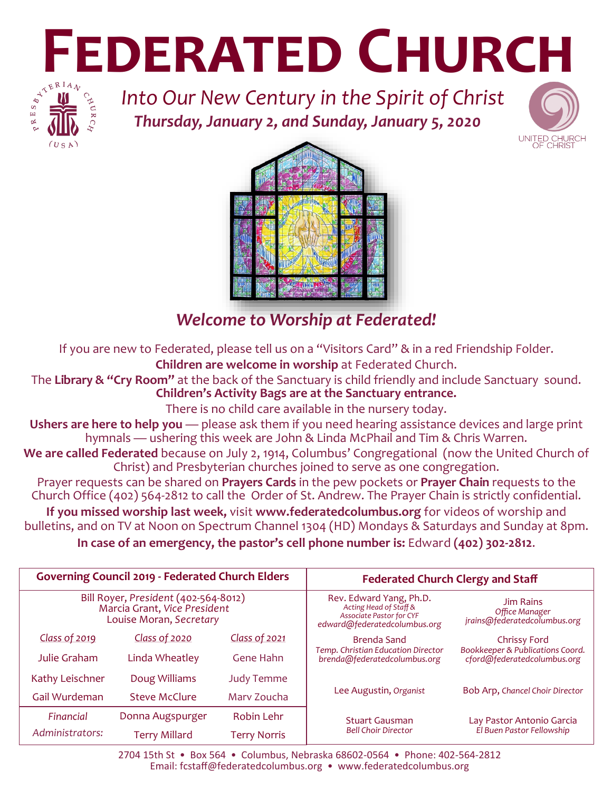# **FEDERATED CHURCH**<br> **FEDERATED CHURCH**<br> **EDERATED CHURCH**



*Into Our New Century in the Spirit of Christ Thursday, January 2, and Sunday, January 5, 2020*





# *Welcome to Worship at Federated!*

If you are new to Federated, please tell us on a "Visitors Card" & in a red Friendship Folder. **Children are welcome in worship** at Federated Church.

The **Library & "Cry Room"** at the back of the Sanctuary is child friendly and include Sanctuary sound. **Children's Activity Bags are at the Sanctuary entrance.** 

There is no child care available in the nursery today.

Ushers are here to help you — please ask them if you need hearing assistance devices and large print hymnals — ushering this week are John & Linda McPhail and Tim & Chris Warren.

**We are called Federated** because on July 2, 1914, Columbus' Congregational (now the United Church of Christ) and Presbyterian churches joined to serve as one congregation.

Prayer requests can be shared on **Prayers Cards** in the pew pockets or **Prayer Chain** requests to the Church Office (402) 564-2812 to call the Order of St. Andrew. The Prayer Chain is strictly confidential.

**If you missed worship last week,** visit **www.federatedcolumbus.org** for videos of worship and bulletins, and on TV at Noon on Spectrum Channel 1304 (HD) Mondays & Saturdays and Sunday at 8pm.

**In case of an emergency, the pastor's cell phone number is:** Edward **(402) 302-2812**.

| <b>Governing Council 2019 - Federated Church Elders</b>                                         |                  |                     | <b>Federated Church Clergy and Staff</b>                                                                             |                                                                                        |
|-------------------------------------------------------------------------------------------------|------------------|---------------------|----------------------------------------------------------------------------------------------------------------------|----------------------------------------------------------------------------------------|
| Bill Royer, President (402-564-8012)<br>Marcia Grant, Vice President<br>Louise Moran, Secretary |                  |                     | Rev. Edward Yang, Ph.D.<br>Acting Head of Staff &<br><b>Associate Pastor for CYF</b><br>edward@federatedcolumbus.org | Jim Rains<br>Office Manager<br>jrains@federatedcolumbus.org                            |
| Class of 2019                                                                                   | Class of 2020    | Class of 2021       | Brenda Sand<br><b>Temp. Christian Education Director</b><br>brenda@federatedcolumbus.org                             | <b>Chrissy Ford</b><br>Bookkeeper & Publications Coord.<br>cford@federatedcolumbus.org |
| Julie Graham                                                                                    | Linda Wheatley   | Gene Hahn           |                                                                                                                      |                                                                                        |
| Kathy Leischner                                                                                 | Doug Williams    | <b>Judy Temme</b>   | Lee Augustin, Organist                                                                                               | Bob Arp, Chancel Choir Director                                                        |
| Gail Wurdeman                                                                                   | Steve McClure    | Mary Zoucha         |                                                                                                                      |                                                                                        |
| Financial                                                                                       | Donna Augspurger | Robin Lehr          | <b>Stuart Gausman</b><br><b>Bell Choir Director</b>                                                                  | Lay Pastor Antonio Garcia<br>El Buen Pastor Fellowship                                 |
| Administrators:                                                                                 | Terry Millard    | <b>Terry Norris</b> |                                                                                                                      |                                                                                        |

2704 15th St • Box 564 • Columbus, Nebraska 68602-0564 • Phone: 402-564-2812 Email: fcstaff@federatedcolumbus.org • www.federatedcolumbus.org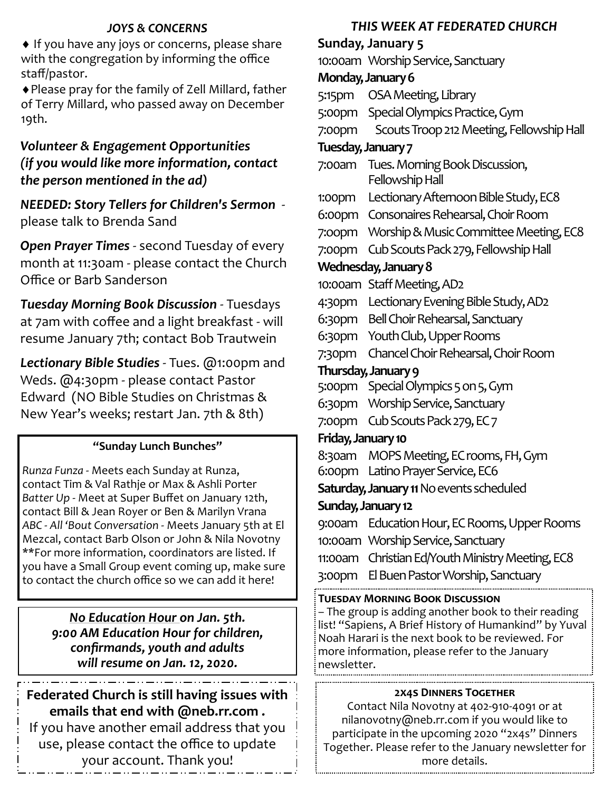# *JOYS & CONCERNS*

 $\bullet$  If you have any joys or concerns, please share with the congregation by informing the office staff/pastor.

Please pray for the family of Zell Millard, father of Terry Millard, who passed away on December 19th.

# *Volunteer & Engagement Opportunities (if you would like more information, contact the person mentioned in the ad)*

*NEEDED: Story Tellers for Children's Sermon*  please talk to Brenda Sand

*Open Prayer Times* - second Tuesday of every month at 11:30am - please contact the Church Office or Barb Sanderson

*Tuesday Morning Bo0k Discussion* - Tuesdays at 7am with coffee and a light breakfast - will resume January 7th; contact Bob Trautwein

*Lectionary Bible Studies* - Tues. @1:00pm and Weds. @4:30pm - please contact Pastor Edward (NO Bible Studies on Christmas & New Year's weeks; restart Jan. 7th & 8th)

# **"Sunday Lunch Bunches"**

*Runza Funza* - Meets each Sunday at Runza, contact Tim & Val Rathje or Max & Ashli Porter *Batter Up* - Meet at Super Buffet on January 12th, contact Bill & Jean Royer or Ben & Marilyn Vrana *ABC - All 'Bout Conversation* - Meets January 5th at El Mezcal, contact Barb Olson or John & Nila Novotny \*\*For more information, coordinators are listed. If you have a Small Group event coming up, make sure to contact the church office so we can add it here!

> *No Education Hour on Jan. 5th. 9:00 AM Education Hour for children, confirmands, youth and adults will resume on Jan. 12, 2020.*

**Federated Church is still having issues with emails that end with @neb.rr.com .**

If you have another email address that you use, please contact the office to update your account. Thank you!

# *THIS WEEK AT FEDERATED CHURCH*

**Sunday, January 5** 10:00am Worship Service, Sanctuary **Monday, January 6** 5:15pm OSA Meeting, Library 5:00pm Special Olympics Practice, Gym 7:00pm Scouts Troop 212 Meeting, Fellowship Hall **Tuesday, January 7** 7:00am Tues. Morning Book Discussion, Fellowship Hall 1:00pm Lectionary Afternoon Bible Study, EC8 6:00pm Consonaires Rehearsal, Choir Room 7:oopm Worship & Music Committee Meeting, EC8 7:00pm Cub Scouts Pack 279, Fellowship Hall **Wednesday, January 8** 10:00am Staff Meeting, AD2 4:30pm Lectionary Evening Bible Study, AD2 6:30pm Bell Choir Rehearsal, Sanctuary 6:30pm Youth Club, Upper Rooms 7:30pm Chancel Choir Rehearsal, Choir Room **Thursday, January 9** 5:00pm Special Olympics 5 on 5, Gym 6:30pm Worship Service, Sanctuary 7:00pm Cub Scouts Pack 279, EC 7 **Friday, January 10** 8:30am MOPS Meeting, EC rooms, FH, Gym 6:00pm Latino Prayer Service, EC6 **Saturday, January 11** No events scheduled **Sunday, January 12** 9:00am Education Hour, EC Rooms, Upper Rooms 10:00am Worship Service, Sanctuary 11:00am Christian Ed/Youth Ministry Meeting, EC8 3:00pm El Buen Pastor Worship, Sanctuary **Tuesday Morning Book Discussion**

– The group is adding another book to their reading list! "Sapiens, A Brief History of Humankind" by Yuval Noah Harari is the next book to be reviewed. For more information, please refer to the January newsletter.

## **2x4s Dinners Together**

Contact Nila Novotny at 402-910-4091 or at nilanovotny@neb.rr.com if you would like to participate in the upcoming 2020 "2x4s" Dinners Together. Please refer to the January newsletter for more details.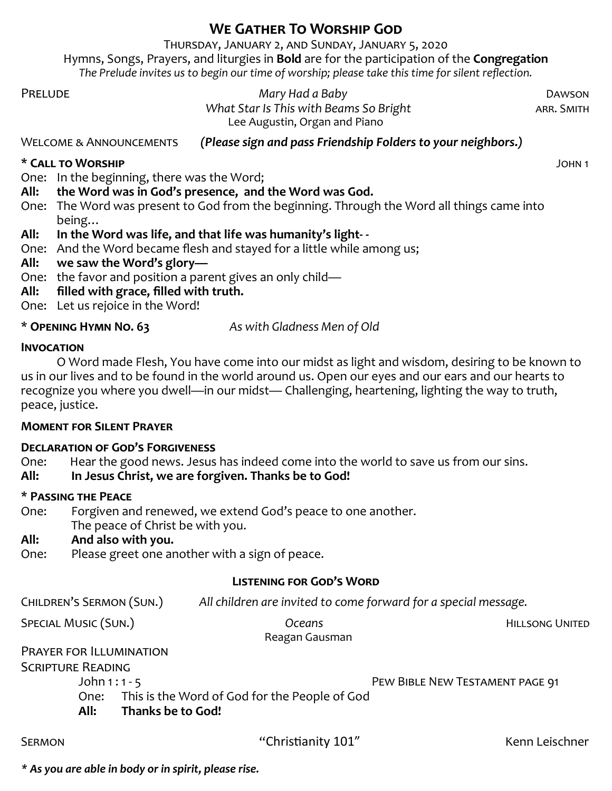# **We Gather To Worship God**

Thursday, January 2, and Sunday, January 5, 2020 Hymns, Songs, Prayers, and liturgies in **Bold** are for the participation of the **Congregation** *The Prelude invites us to begin our time of worship; please take this time for silent reflection.*

Prelude *Mary Had a Baby* Dawson *What Star Is This with Beams So Bright* **ARR. SMITH** Lee Augustin, Organ and Piano

Welcome & Announcements *(Please sign and pass Friendship Folders to your neighbors.)*

#### **\* Call to Worship** John 1

One: In the beginning, there was the Word;

- **All: the Word was in God's presence, and the Word was God.**
- One: The Word was present to God from the beginning. Through the Word all things came into being…

# **All: In the Word was life, and that life was humanity's light- -**

- One: And the Word became flesh and stayed for a little while among us;
- **All: we saw the Word's glory—**
- One: the favor and position a parent gives an only child—
- **All: filled with grace, filled with truth.**
- One: Let us rejoice in the Word!

\* **Opening Hymn No. 63** *As with Gladness Men of Old*

#### **Invocation**

O Word made Flesh, You have come into our midst as light and wisdom, desiring to be known to us in our lives and to be found in the world around us. Open our eyes and our ears and our hearts to recognize you where you dwell—in our midst— Challenging, heartening, lighting the way to truth, peace, justice.

## **Moment for Silent Prayer**

## **Declaration of God's Forgiveness**

One: Hear the good news. Jesus has indeed come into the world to save us from our sins.

**All: In Jesus Christ, we are forgiven. Thanks be to God!** 

## **\* Passing the Peace**

- One: Forgiven and renewed, we extend God's peace to one another.
- The peace of Christ be with you.

## **All: And also with you.**

One: Please greet one another with a sign of peace.

## **Listening for God's Word**

Children's Sermon (Sun.) *All children are invited to come forward for a special message.*

SPECIAL MUSIC (SUN.) *Oceans Oceans* **HILLSONG UNITED** 

Reagan Gausman

Prayer for Illumination

Scripture Reading

John 1 : 1 - 5 Pew Bible New Testament page 91

- One: This is the Word of God for the People of God
- **All: Thanks be to God!**

*\* As you are able in body or in spirit, please rise.*